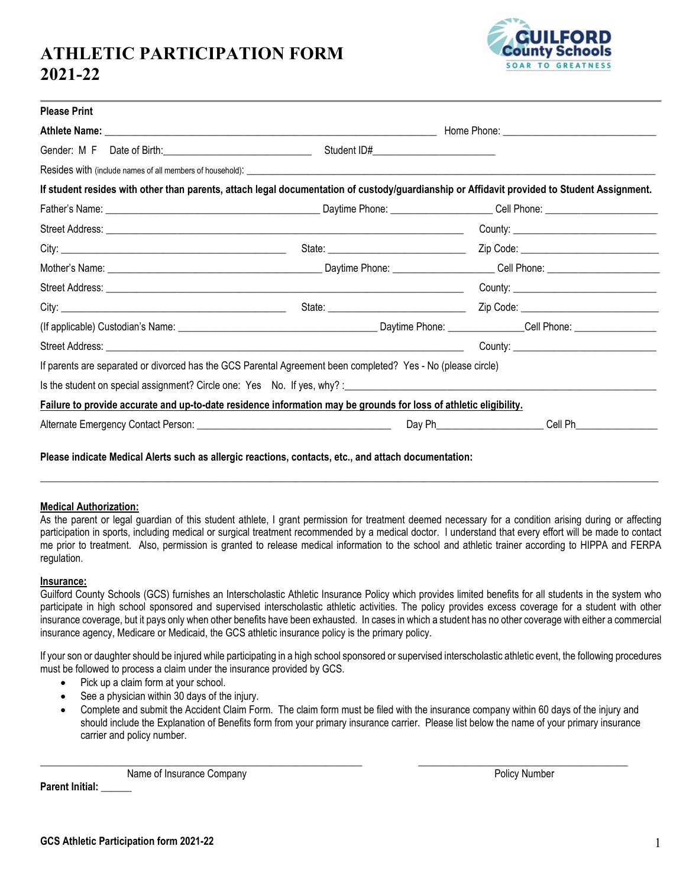# **ATHLETIC PARTICIPATION FORM 2021-22**



| <b>Please Print</b> |                                                                                                                                             |                                             |  |
|---------------------|---------------------------------------------------------------------------------------------------------------------------------------------|---------------------------------------------|--|
|                     |                                                                                                                                             |                                             |  |
|                     |                                                                                                                                             |                                             |  |
|                     |                                                                                                                                             |                                             |  |
|                     | If student resides with other than parents, attach legal documentation of custody/guardianship or Affidavit provided to Student Assignment. |                                             |  |
|                     |                                                                                                                                             |                                             |  |
|                     |                                                                                                                                             |                                             |  |
|                     |                                                                                                                                             |                                             |  |
|                     |                                                                                                                                             |                                             |  |
|                     |                                                                                                                                             | County: ___________________________________ |  |
|                     |                                                                                                                                             |                                             |  |
|                     | (If applicable) Custodian's Name: 1980 Mannel Communication Custom Daytime Phone: 2008 Mannel Cell Phone: 2008                              |                                             |  |
|                     |                                                                                                                                             |                                             |  |
|                     | If parents are separated or divorced has the GCS Parental Agreement been completed? Yes - No (please circle)                                |                                             |  |
|                     |                                                                                                                                             |                                             |  |
|                     | Failure to provide accurate and up-to-date residence information may be grounds for loss of athletic eligibility.                           |                                             |  |
|                     |                                                                                                                                             |                                             |  |

### **Medical Authorization:**

As the parent or legal guardian of this student athlete, I grant permission for treatment deemed necessary for a condition arising during or affecting participation in sports, including medical or surgical treatment recommended by a medical doctor. I understand that every effort will be made to contact me prior to treatment. Also, permission is granted to release medical information to the school and athletic trainer according to HIPPA and FERPA regulation.

\_\_\_\_\_\_\_\_\_\_\_\_\_\_\_\_\_\_\_\_\_\_\_\_\_\_\_\_\_\_\_\_\_\_\_\_\_\_\_\_\_\_\_\_\_\_\_\_\_\_\_\_\_\_\_\_\_\_\_\_\_\_\_\_\_\_\_\_\_\_\_\_\_\_\_\_\_\_\_\_\_\_\_\_\_\_\_\_\_\_\_\_\_\_\_\_\_\_\_\_\_\_\_\_\_\_\_\_\_\_\_\_\_\_\_\_\_\_\_\_\_

#### **Insurance:**

Guilford County Schools (GCS) furnishes an Interscholastic Athletic Insurance Policy which provides limited benefits for all students in the system who participate in high school sponsored and supervised interscholastic athletic activities. The policy provides excess coverage for a student with other insurance coverage, but it pays only when other benefits have been exhausted. In cases in which a student has no other coverage with either a commercial insurance agency, Medicare or Medicaid, the GCS athletic insurance policy is the primary policy.

If your son or daughter should be injured while participating in a high school sponsored or supervised interscholastic athletic event, the following procedures must be followed to process a claim under the insurance provided by GCS.

- Pick up a claim form at your school.
- See a physician within 30 days of the injury.
- Complete and submit the Accident Claim Form. The claim form must be filed with the insurance company within 60 days of the injury and should include the Explanation of Benefits form from your primary insurance carrier. Please list below the name of your primary insurance carrier and policy number.

 $\_$  , and the set of the set of the set of the set of the set of the set of the set of the set of the set of the set of the set of the set of the set of the set of the set of the set of the set of the set of the set of th

Name of Insurance Company **Policy Number** Policy Number **Parent Initial:**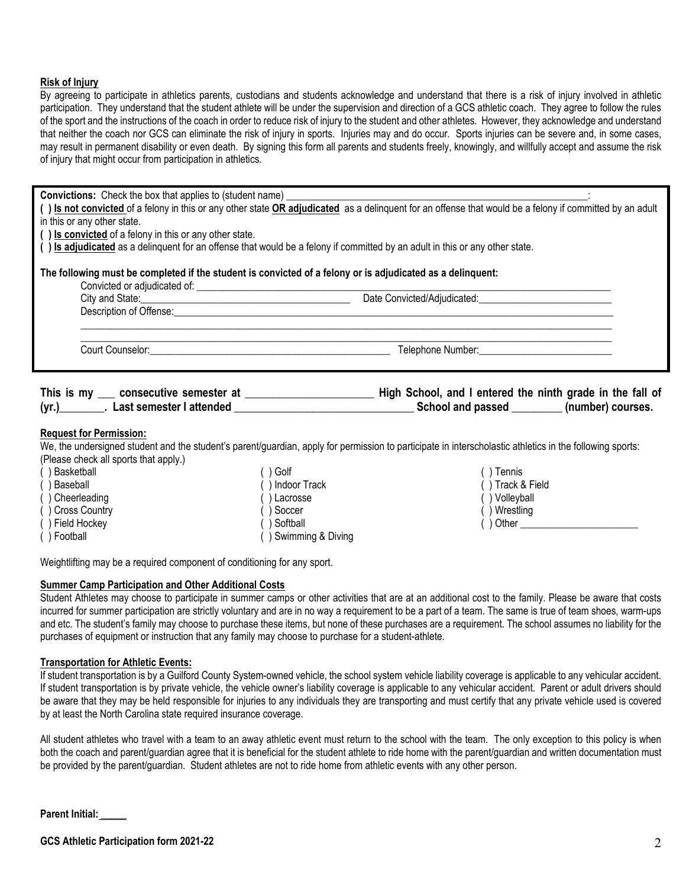### **Risk of Injury**

By agreeing to participate in athletics parents, custodians and students acknowledge and understand that there is a risk of injury involved in athletic participation. They understand that the student athlete will be under the supervision and direction of a GCS athletic coach. They agree to follow the rules of the sport and the instructions of the coach in order to reduce risk of injury to the student and other athletes. However, they acknowledge and understand that neither the coach nor GCS can eliminate the risk of injury in sports. Injuries may and do occur. Sports injuries can be severe and, in some cases, may result in permanent disability or even death. By signing this form all parents and students freely, knowingly, and willfully accept and assume the risk of injury that might occur from participation in athletics.

Convictions: Check the box that applies to (student name)

**( ) Is not convicted** of a felony in this or any other state **OR adjudicated** as a delinquent for an offense that would be a felony if committed by an adult in this or any other state.

**( ) Is convicted** of a felony in this or any other state.

**( ) Is adjudicated** as a delinquent for an offense that would be a felony if committed by an adult in this or any other state.

| The following must be completed if the student is convicted of a felony or is adjudicated as a delinquent:<br>Convicted or adjudicated of: |                             |  |  |
|--------------------------------------------------------------------------------------------------------------------------------------------|-----------------------------|--|--|
| City and State:<br>Description of Offense:                                                                                                 | Date Convicted/Adjudicated: |  |  |
|                                                                                                                                            |                             |  |  |

Court Counselor:\_\_\_\_\_\_\_\_\_\_\_\_\_\_\_\_\_\_\_\_\_\_\_\_\_\_\_\_\_\_\_\_\_\_\_\_\_\_\_\_\_\_\_\_\_\_\_ Telephone Number:\_\_\_\_\_\_\_\_\_\_\_\_\_\_\_\_\_\_\_\_\_\_\_\_\_\_

| This is my | consecutive semester at  | High School, and I entered the ninth grade in the fall of |                   |
|------------|--------------------------|-----------------------------------------------------------|-------------------|
| (yr.)      | Last semester I attended | School and passed                                         | (number) courses. |

### **Request for Permission:**

We, the undersigned student and the student's parent/guardian, apply for permission to participate in interscholastic athletics in the following sports: (Please check all sports that apply.)

| () Basketball    | $( )$ Golf           |  |  |
|------------------|----------------------|--|--|
| () Baseball      | () Indoor Track      |  |  |
| () Cheerleading  | () Lacrosse          |  |  |
| () Cross Country | () Soccer            |  |  |
| () Field Hockey  | () Softball          |  |  |
| () Football      | () Swimming & Diving |  |  |

( ) Tennis ( ) Track & Field ( ) Volleyball ( ) Wrestling  $($   $)$  Other

Weightlifting may be a required component of conditioning for any sport.

#### **Summer Camp Participation and Other Additional Costs**

Student Athletes may choose to participate in summer camps or other activities that are at an additional cost to the family. Please be aware that costs incurred for summer participation are strictly voluntary and are in no way a requirement to be a part of a team. The same is true of team shoes, warm-ups and etc. The student's family may choose to purchase these items, but none of these purchases are a requirement. The school assumes no liability for the purchases of equipment or instruction that any family may choose to purchase for a student-athlete.

#### **Transportation for Athletic Events:**

If student transportation is by a Guilford County System-owned vehicle, the school system vehicle liability coverage is applicable to any vehicular accident. If student transportation is by private vehicle, the vehicle owner's liability coverage is applicable to any vehicular accident. Parent or adult drivers should be aware that they may be held responsible for injuries to any individuals they are transporting and must certify that any private vehicle used is covered by at least the North Carolina state required insurance coverage.

All student athletes who travel with a team to an away athletic event must return to the school with the team. The only exception to this policy is when both the coach and parent/guardian agree that it is beneficial for the student athlete to ride home with the parent/guardian and written documentation must be provided by the parent/guardian. Student athletes are not to ride home from athletic events with any other person.

**Parent Initial: \_\_\_\_\_**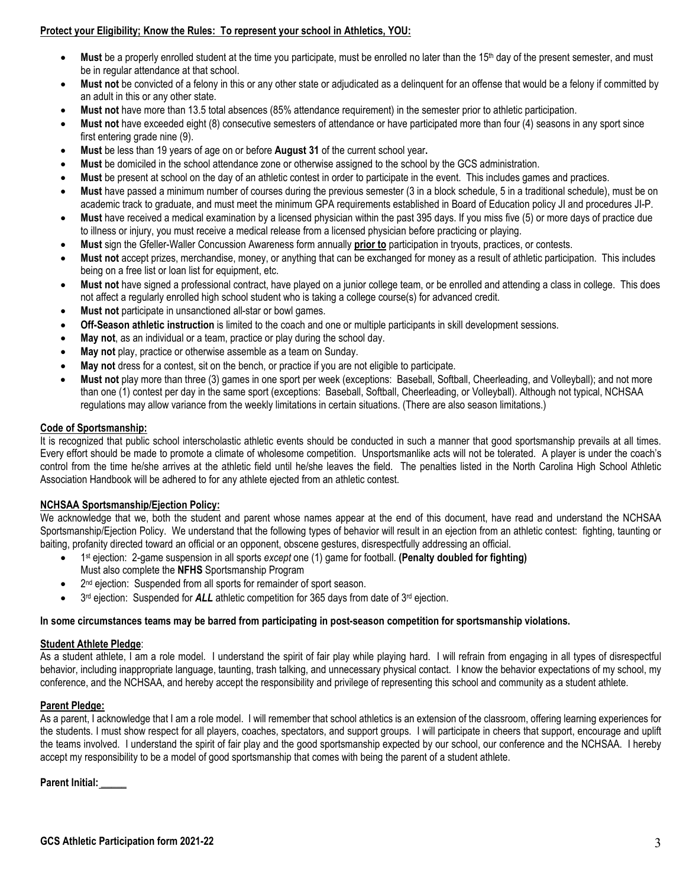## **Protect your Eligibility; Know the Rules: To represent your school in Athletics, YOU:**

- Must be a properly enrolled student at the time you participate, must be enrolled no later than the 15<sup>th</sup> day of the present semester, and must be in regular attendance at that school.
- **Must not** be convicted of a felony in this or any other state or adjudicated as a delinquent for an offense that would be a felony if committed by an adult in this or any other state.
- **Must not** have more than 13.5 total absences (85% attendance requirement) in the semester prior to athletic participation.
- **Must not** have exceeded eight (8) consecutive semesters of attendance or have participated more than four (4) seasons in any sport since first entering grade nine (9).
- **Must** be less than 19 years of age on or before **August 31** of the current school year**.**
- **Must** be domiciled in the school attendance zone or otherwise assigned to the school by the GCS administration.
- **Must** be present at school on the day of an athletic contest in order to participate in the event. This includes games and practices.
- **Must** have passed a minimum number of courses during the previous semester (3 in a block schedule, 5 in a traditional schedule), must be on academic track to graduate, and must meet the minimum GPA requirements established in Board of Education policy JI and procedures JI-P.
- **Must** have received a medical examination by a licensed physician within the past 395 days. If you miss five (5) or more days of practice due to illness or injury, you must receive a medical release from a licensed physician before practicing or playing.
- **Must** sign the Gfeller-Waller Concussion Awareness form annually **prior to** participation in tryouts, practices, or contests.
- **Must not** accept prizes, merchandise, money, or anything that can be exchanged for money as a result of athletic participation. This includes being on a free list or loan list for equipment, etc.
- **Must not** have signed a professional contract, have played on a junior college team, or be enrolled and attending a class in college. This does not affect a regularly enrolled high school student who is taking a college course(s) for advanced credit.
- **Must not** participate in unsanctioned all-star or bowl games.
- **Off-Season athletic instruction** is limited to the coach and one or multiple participants in skill development sessions.
- **May not**, as an individual or a team, practice or play during the school day.
- **May not** play, practice or otherwise assemble as a team on Sunday.
- **May not** dress for a contest, sit on the bench, or practice if you are not eligible to participate.
- **Must not** play more than three (3) games in one sport per week (exceptions: Baseball, Softball, Cheerleading, and Volleyball); and not more than one (1) contest per day in the same sport (exceptions: Baseball, Softball, Cheerleading, or Volleyball). Although not typical, NCHSAA regulations may allow variance from the weekly limitations in certain situations. (There are also season limitations.)

## **Code of Sportsmanship:**

It is recognized that public school interscholastic athletic events should be conducted in such a manner that good sportsmanship prevails at all times. Every effort should be made to promote a climate of wholesome competition. Unsportsmanlike acts will not be tolerated. A player is under the coach's control from the time he/she arrives at the athletic field until he/she leaves the field. The penalties listed in the North Carolina High School Athletic Association Handbook will be adhered to for any athlete ejected from an athletic contest.

### **NCHSAA Sportsmanship/Ejection Policy:**

We acknowledge that we, both the student and parent whose names appear at the end of this document, have read and understand the NCHSAA Sportsmanship/Ejection Policy. We understand that the following types of behavior will result in an ejection from an athletic contest: fighting, taunting or baiting, profanity directed toward an official or an opponent, obscene gestures, disrespectfully addressing an official.

- 1st ejection: 2-game suspension in all sports *except* one (1) game for football. **(Penalty doubled for fighting)** Must also complete the **NFHS** Sportsmanship Program
- 2<sup>nd</sup> ejection: Suspended from all sports for remainder of sport season.
- 3<sup>rd</sup> ejection: Suspended for **ALL** athletic competition for 365 days from date of 3<sup>rd</sup> ejection.

### **In some circumstances teams may be barred from participating in post-season competition for sportsmanship violations.**

### **Student Athlete Pledge**:

As a student athlete, I am a role model. I understand the spirit of fair play while playing hard. I will refrain from engaging in all types of disrespectful behavior, including inappropriate language, taunting, trash talking, and unnecessary physical contact. I know the behavior expectations of my school, my conference, and the NCHSAA, and hereby accept the responsibility and privilege of representing this school and community as a student athlete.

### **Parent Pledge:**

As a parent, I acknowledge that I am a role model. I will remember that school athletics is an extension of the classroom, offering learning experiences for the students. I must show respect for all players, coaches, spectators, and support groups. I will participate in cheers that support, encourage and uplift the teams involved. I understand the spirit of fair play and the good sportsmanship expected by our school, our conference and the NCHSAA. I hereby accept my responsibility to be a model of good sportsmanship that comes with being the parent of a student athlete.

**Parent Initial: \_\_\_\_\_**